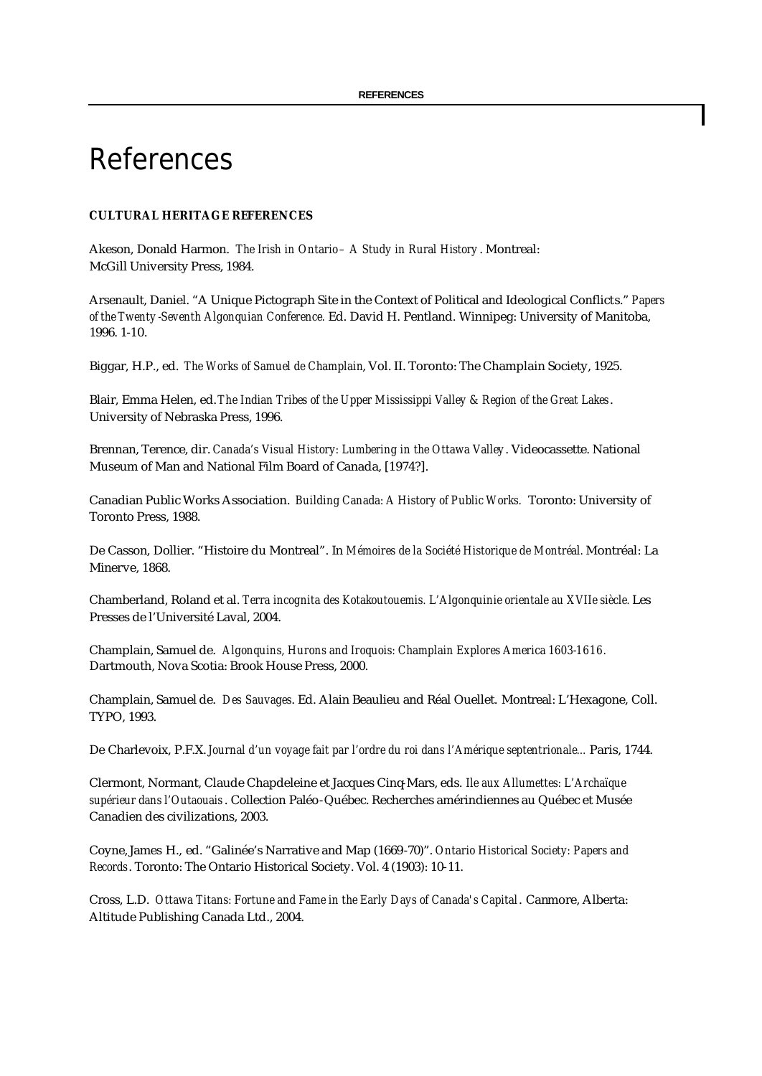# References

# **CULTURAL HERITAGE REFERENCES**

Akeson, Donald Harmon. *The Irish in Ontario – A Study in Rural History* . Montreal: McGill University Press, 1984.

Arsenault, Daniel. "A Unique Pictograph Site in the Context of Political and Ideological Conflicts." *Papers of the Twenty -Seventh Algonquian Conference.* Ed. David H. Pentland. Winnipeg: University of Manitoba, 1996. 1-10.

Biggar, H.P., ed. *The Works of Samuel de Champlain*, Vol. II. Toronto: The Champlain Society, 1925.

Blair, Emma Helen, ed. *The Indian Tribes of the Upper Mississippi Valley & Region of the Great Lakes*. University of Nebraska Press, 1996.

Brennan, Terence, dir. *Canada's Visual History: Lumbering in the Ottawa Valley*. Videocassette. National Museum of Man and National Film Board of Canada, [1974?].

Canadian Public Works Association. *Building Canada: A History of Public Works.* Toronto: University of Toronto Press, 1988.

De Casson, Dollier. "Histoire du Montreal". In *Mémoires de la Société Historique de Montréal.* Montréal: La Minerve, 1868.

Chamberland, Roland et al. *Terra incognita des Kotakoutouemis. L'Algonquinie orientale au XVIIe siècle.* Les Presses de l'Université Laval, 2004.

Champlain, Samuel de. *Algonquins, Hurons and Iroquois: Champlain Explores America 1603-1616.* Dartmouth, Nova Scotia: Brook House Press, 2000.

Champlain, Samuel de. *Des Sauvages*. Ed. Alain Beaulieu and Réal Ouellet. Montreal: L'Hexagone, Coll. TYPO, 1993.

De Charlevoix, P.F.X. *Journal d'un voyage fait par l'ordre du roi dans l'Amérique septentrionale...* Paris, 1744.

Clermont, Normant, Claude Chapdeleine et Jacques Cinq-Mars, eds. *Ile aux Allumettes: L'Archaïque supérieur dans l'Outaouais*. Collection Paléo-Québec. Recherches amérindiennes au Québec et Musée Canadien des civilizations, 2003.

Coyne, James H., ed. "Galinée's Narrative and Map (1669-70)". *Ontario Historical Society: Papers and Records*. Toronto: The Ontario Historical Society. Vol. 4 (1903): 10-11.

Cross, L.D. *Ottawa Titans: Fortune and Fame in the Early Days of Canada's Capital*. Canmore, Alberta: Altitude Publishing Canada Ltd., 2004.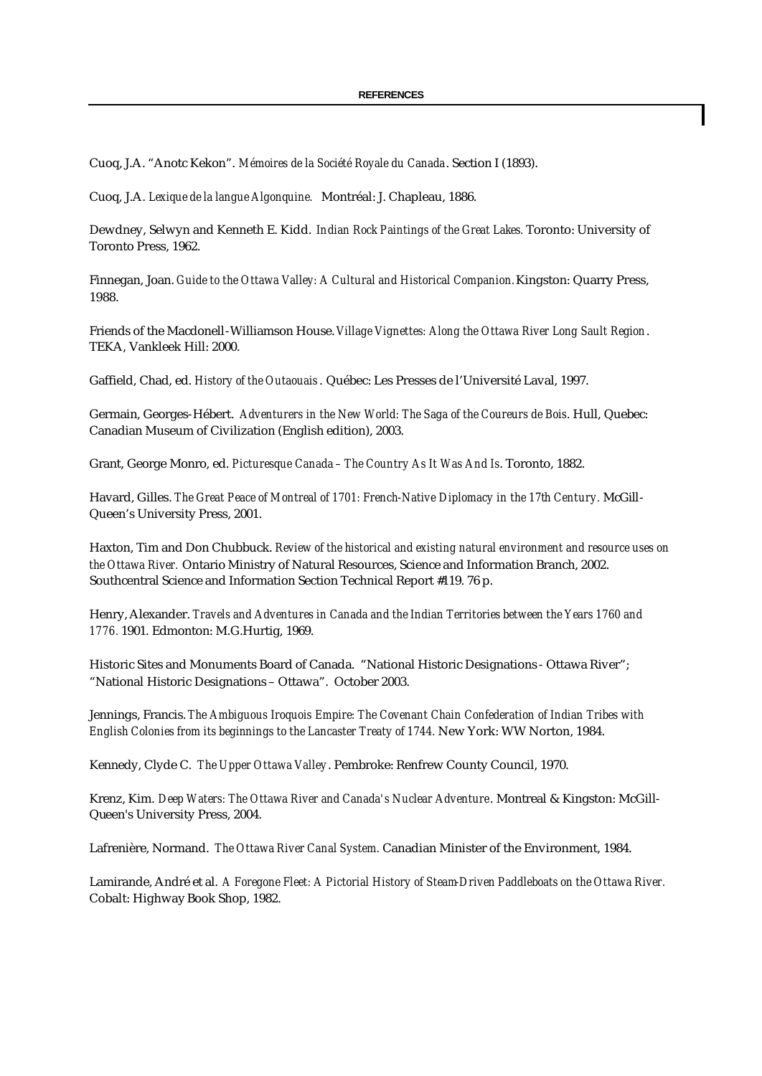Cuoq, J.A. "Anotc Kekon". *Mémoires de la Société Royale du Canada*. Section I (1893).

Cuoq, J.A. *Lexique de la langue Algonquine.* Montréal: J. Chapleau, 1886.

Dewdney, Selwyn and Kenneth E. Kidd. *Indian Rock Paintings of the Great Lakes.* Toronto: University of Toronto Press, 1962.

Finnegan, Joan. *Guide to the Ottawa Valley: A Cultural and Historical Companion.* Kingston: Quarry Press, 1988.

Friends of the Macdonell-Williamson House. *Village Vignettes: Along the Ottawa River Long Sault Region*. TEKA, Vankleek Hill: 2000.

Gaffield, Chad, ed. *History of the Outaouais*. Québec: Les Presses de l'Université Laval, 1997.

Germain, Georges-Hébert. *Adventurers in the New World: The Saga of the Coureurs de Bois*. Hull, Quebec: Canadian Museum of Civilization (English edition), 2003.

Grant, George Monro, ed. *Picturesque Canada – The Country As It Was And Is*. Toronto, 1882.

Havard, Gilles. *The Great Peace of Montreal of 1701: French-Native Diplomacy in the 17th Century.* McGill-Queen's University Press, 2001.

Haxton, Tim and Don Chubbuck. *Review of the historical and existing natural environment and resource uses on the Ottawa River.* Ontario Ministry of Natural Resources, Science and Information Branch, 2002. Southcentral Science and Information Section Technical Report #119. 76 p.

Henry, Alexander. *Travels and Adventures in Canada and the Indian Territories between the Years 1760 and 1776.* 1901. Edmonton: M.G.Hurtig, 1969.

Historic Sites and Monuments Board of Canada. "National Historic Designations - Ottawa River"; "National Historic Designations – Ottawa". October 2003.

Jennings, Francis. *The Ambiguous Iroquois Empire: The Covenant Chain Confederation of Indian Tribes with English Colonies from its beginnings to the Lancaster Treaty of 1744.* New York: WW Norton, 1984.

Kennedy, Clyde C. *The Upper Ottawa Valley*. Pembroke: Renfrew County Council, 1970.

Krenz, Kim. *Deep Waters: The Ottawa River and Canada's Nuclear Adventure*. Montreal & Kingston: McGill-Queen's University Press, 2004.

Lafrenière, Normand. *The Ottawa River Canal System.* Canadian Minister of the Environment, 1984.

Lamirande, André et al. *A Foregone Fleet: A Pictorial History of Steam-Driven Paddleboats on the Ottawa River.* Cobalt: Highway Book Shop, 1982.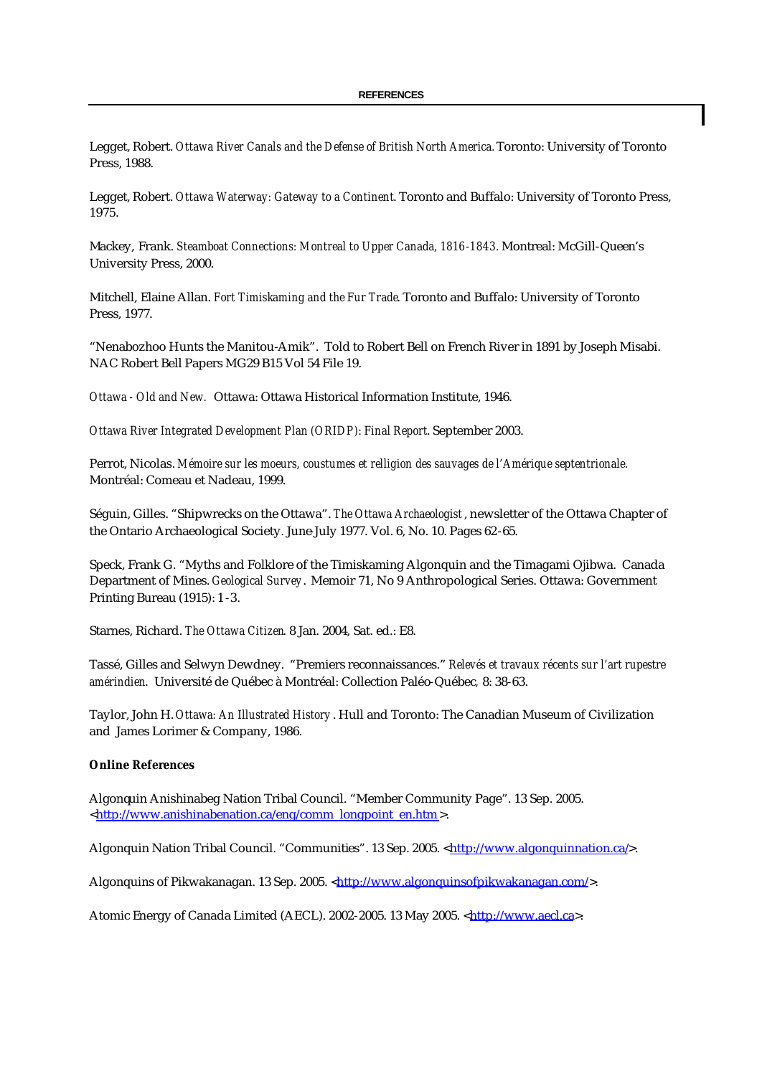Legget, Robert. *Ottawa River Canals and the Defense of British North America.* Toronto: University of Toronto Press, 1988.

Legget, Robert. *Ottawa Waterway: Gateway to a Continent*. Toronto and Buffalo: University of Toronto Press, 1975.

Mackey, Frank. *Steamboat Connections: Montreal to Upper Canada, 1816-1843.* Montreal: McGill-Queen's University Press, 2000.

Mitchell, Elaine Allan. *Fort Timiskaming and the Fur Trade*. Toronto and Buffalo: University of Toronto Press, 1977.

"Nenabozhoo Hunts the Manitou-Amik". Told to Robert Bell on French River in 1891 by Joseph Misabi. NAC Robert Bell Papers MG29 B15 Vol 54 File 19.

*Ottawa - Old and New.* Ottawa: Ottawa Historical Information Institute, 1946.

*Ottawa River Integrated Development Plan (ORIDP): Final Report*. September 2003.

Perrot, Nicolas. *Mémoire sur les moeurs, coustumes et relligion des sauvages de l'Amérique septentrionale.* Montréal: Comeau et Nadeau, 1999.

Séguin, Gilles. "Shipwrecks on the Ottawa". *The Ottawa Archaeologist*, newsletter of the Ottawa Chapter of the Ontario Archaeological Society. June-July 1977. Vol. 6, No. 10. Pages 62-65.

Speck, Frank G. "Myths and Folklore of the Timiskaming Algonquin and the Timagami Ojibwa. Canada Department of Mines. *Geological Survey*. Memoir 71, No 9 Anthropological Series. Ottawa: Government Printing Bureau (1915): 1 -3.

Starnes, Richard. *The Ottawa Citizen*. 8 Jan. 2004, Sat. ed.: E8.

Tassé, Gilles and Selwyn Dewdney. "Premiers reconnaissances." *Relevés et travaux récents sur l'art rupestre amérindien*. Université de Québec à Montréal: Collection Paléo-Québec*,* 8: 38-63.

Taylor, John H. *Ottawa: An Illustrated History* . Hull and Toronto: The Canadian Museum of Civilization and James Lorimer & Company, 1986.

## **Online References**

Algonquin Anishinabeg Nation Tribal Council. "Member Community Page". 13 Sep. 2005. <http://www.anishinabenation.ca/eng/comm\_longpoint\_en.htm >.

Algonquin Nation Tribal Council. "Communities". 13 Sep. 2005. <http://www.algonquinnation.ca/>.

Algonquins of Pikwakanagan. 13 Sep. 2005. <http://www.algonquinsofpikwakanagan.com/>.

Atomic Energy of Canada Limited (AECL). 2002-2005. 13 May 2005. <http://www.aecl.ca>.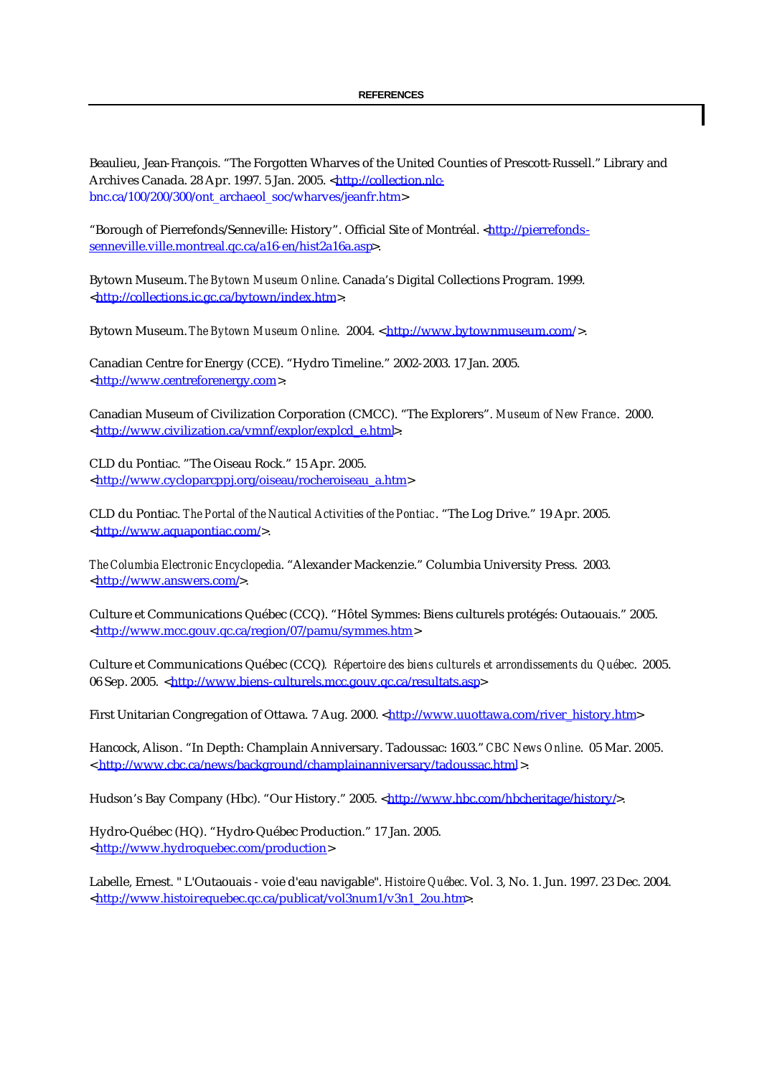Beaulieu, Jean-François. "The Forgotten Wharves of the United Counties of Prescott-Russell." Library and Archives Canada. 28 Apr. 1997. 5 Jan. 2005. <http://collection.nlcbnc.ca/100/200/300/ont\_archaeol\_soc/wharves/jeanfr.htm>

"Borough of Pierrefonds/Senneville: History". Official Site of Montréal. <http://pierrefondssenneville.ville.montreal.qc.ca/a16-en/hist2a16a.asp>.

Bytown Museum. *The Bytown Museum Online*. Canada's Digital Collections Program. 1999. <http://collections.ic.gc.ca/bytown/index.htm>.

Bytown Museum. *The Bytown Museum Online.* 2004. < http://www.bytownmuseum.com/>.

Canadian Centre for Energy (CCE). "Hydro Timeline." 2002-2003. 17 Jan. 2005. <http://www.centreforenergy.com>.

Canadian Museum of Civilization Corporation (CMCC). "The Explorers". *Museum of New France*. 2000. <http://www.civilization.ca/vmnf/explor/explcd\_e.html>.

CLD du Pontiac. "The Oiseau Rock." 15 Apr. 2005. <http://www.cycloparcppj.org/oiseau/rocheroiseau\_a.htm>

CLD du Pontiac. *The Portal of the Nautical Activities of the Pontiac*. "The Log Drive." 19 Apr. 2005. <http://www.aquapontiac.com/>.

*The Columbia Electronic Encyclopedia*. "Alexander Mackenzie." Columbia University Press. 2003. <http://www.answers.com/>.

Culture et Communications Québec (CCQ). "Hôtel Symmes: Biens culturels protégés: Outaouais." 2005. <http://www.mcc.gouv.qc.ca/region/07/pamu/symmes.htm>

Culture et Communications Québec (CCQ)*. Répertoire des biens culturels et arrondissements du Québec*. 2005. 06 Sep. 2005. <http://www.biens-culturels.mcc.gouv.gc.ca/resultats.asp>

First Unitarian Congregation of Ottawa. 7 Aug. 2000. <http://www.uuottawa.com/river\_history.htm>

Hancock, Alison. "In Depth: Champlain Anniversary. Tadoussac: 1603." *CBC News Online*. 05 Mar. 2005. < http://www.cbc.ca/news/background/champlainanniversary/tadoussac.html >.

Hudson's Bay Company (Hbc). "Our History." 2005. <http://www.hbc.com/hbcheritage/history/>.

Hydro-Québec (HQ). "Hydro-Québec Production." 17 Jan. 2005. <http://www.hydroquebec.com/production>

Labelle, Ernest. " L'Outaouais - voie d'eau navigable". *Histoire Québec*. Vol. 3, No. 1. Jun. 1997. 23 Dec. 2004. <http://www.histoirequebec.qc.ca/publicat/vol3num1/v3n1\_2ou.htm>.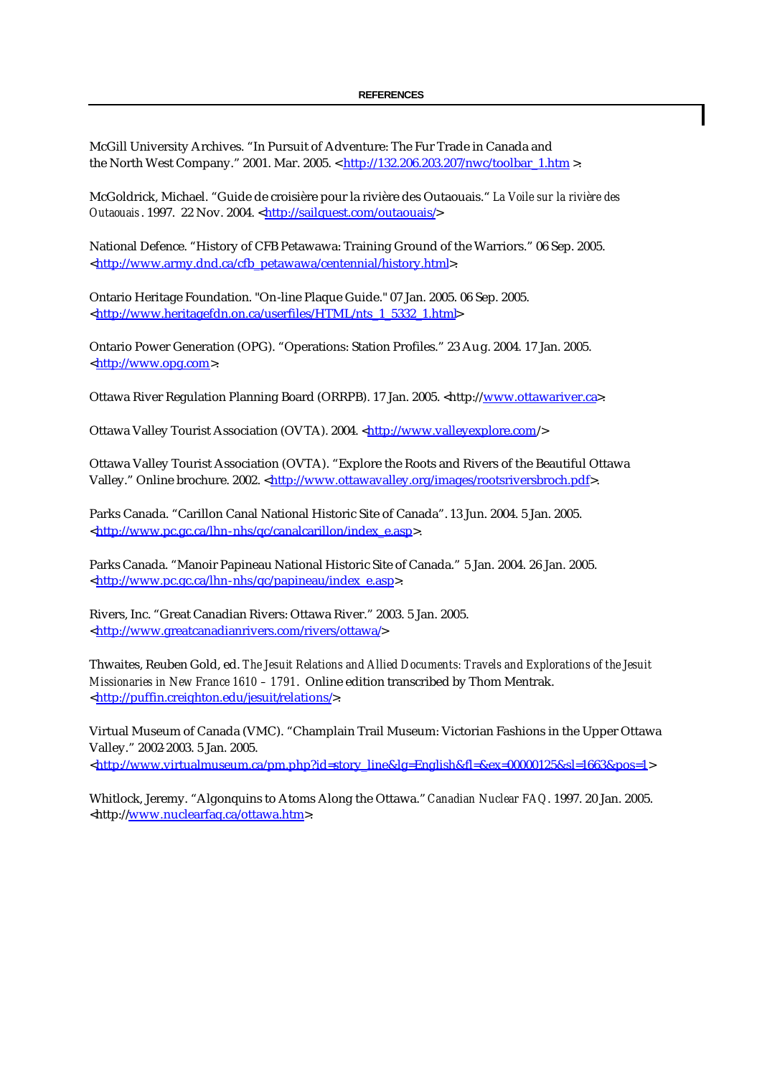McGill University Archives. "In Pursuit of Adventure: The Fur Trade in Canada and the North West Company." 2001. Mar. 2005. < http://132.206.203.207/nwc/toolbar\_1.htm >.

McGoldrick, Michael. "Guide de croisière pour la rivière des Outaouais." *La Voile sur la rivière des Outaouais*. 1997. 22 Nov. 2004. <http://sailquest.com/outaouais/>

National Defence. "History of CFB Petawawa: Training Ground of the Warriors." 06 Sep. 2005. <http://www.army.dnd.ca/cfb\_petawawa/centennial/history.html>.

Ontario Heritage Foundation. "On-line Plaque Guide." 07 Jan. 2005. 06 Sep. 2005. <http://www.heritagefdn.on.ca/userfiles/HTML/nts\_1\_5332\_1.html>

Ontario Power Generation (OPG). "Operations: Station Profiles." 23 Aug. 2004. 17 Jan. 2005. <http://www.opg.com>.

Ottawa River Regulation Planning Board (ORRPB). 17 Jan. 2005. <http://www.ottawariver.ca>.

Ottawa Valley Tourist Association (OVTA). 2004. <http://www.valleyexplore.com/>

Ottawa Valley Tourist Association (OVTA). "Explore the Roots and Rivers of the Beautiful Ottawa Valley." Online brochure. 2002. <http://www.ottawavalley.org/images/rootsriversbroch.pdf>.

Parks Canada. "Carillon Canal National Historic Site of Canada". 13 Jun. 2004. 5 Jan. 2005. <http://www.pc.gc.ca/lhn-nhs/qc/canalcarillon/index\_e.asp>.

Parks Canada. "Manoir Papineau National Historic Site of Canada." 5 Jan. 2004. 26 Jan. 2005. <http://www.pc.gc.ca/lhn-nhs/qc/papineau/index\_e.asp>.

Rivers, Inc. "Great Canadian Rivers: Ottawa River." 2003. 5 Jan. 2005. <http://www.greatcanadianrivers.com/rivers/ottawa/>

Thwaites, Reuben Gold, ed. *The Jesuit Relations and Allied Documents: Travels and Explorations of the Jesuit Missionaries in New France 1610 – 1791*. Online edition transcribed by Thom Mentrak. <http://puffin.creighton.edu/jesuit/relations/>.

Virtual Museum of Canada (VMC). "Champlain Trail Museum: Victorian Fashions in the Upper Ottawa Valley." 2002-2003. 5 Jan. 2005. <http://www.virtualmuseum.ca/pm.php?id=story\_line&lg=English&fl=&ex=00000125&sl=1663&pos=1>

Whitlock, Jeremy. "Algonquins to Atoms Along the Ottawa." *Canadian Nuclear FAQ*. 1997. 20 Jan. 2005. <http://www.nuclearfaq.ca/ottawa.htm>.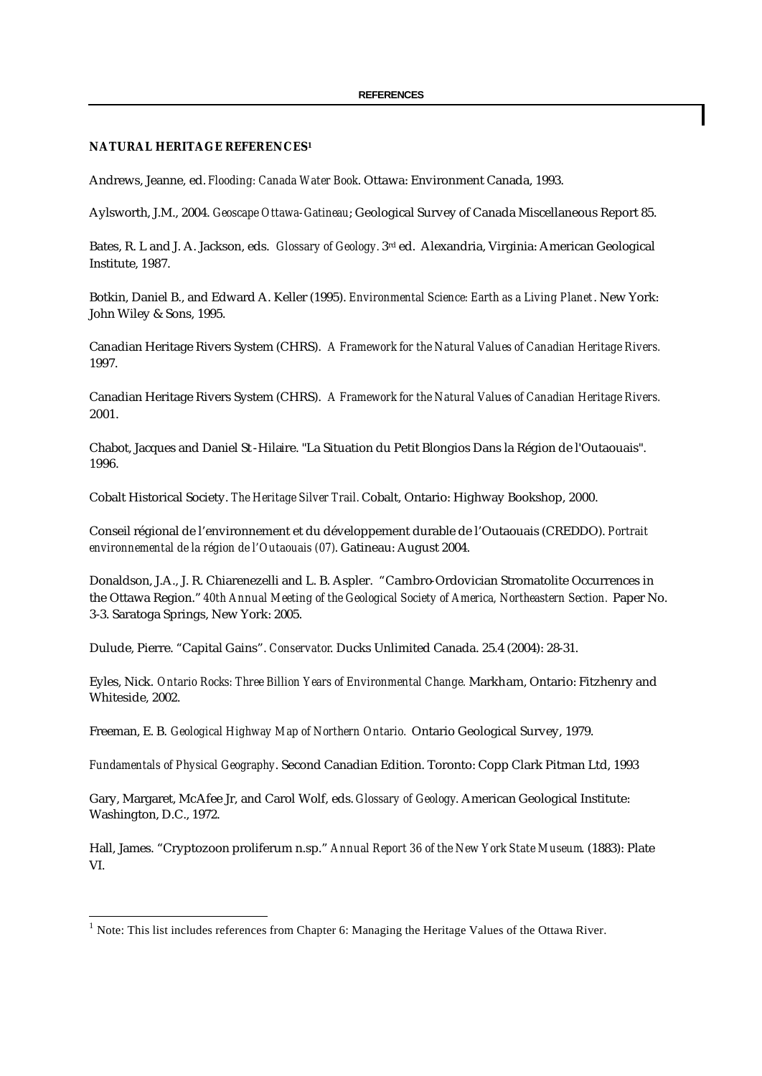#### **NATURAL HERITAGE REFERENCES<sup>1</sup>**

Andrews, Jeanne, ed. *Flooding: Canada Water Book*. Ottawa: Environment Canada, 1993.

Aylsworth, J.M., 2004. *Geoscape Ottawa-Gatineau*; Geological Survey of Canada Miscellaneous Report 85.

Bates, R. L and J. A. Jackson, eds. *Glossary of Geology.* 3rd ed. Alexandria, Virginia: American Geological Institute, 1987.

Botkin, Daniel B., and Edward A. Keller (1995). *Environmental Science: Earth as a Living Planet*. New York: John Wiley & Sons, 1995.

Canadian Heritage Rivers System (CHRS). *A Framework for the Natural Values of Canadian Heritage Rivers.* 1997.

Canadian Heritage Rivers System (CHRS). *A Framework for the Natural Values of Canadian Heritage Rivers.* 2001.

Chabot, Jacques and Daniel St-Hilaire. "La Situation du Petit Blongios Dans la Région de l'Outaouais". 1996.

Cobalt Historical Society. *The Heritage Silver Trail.* Cobalt, Ontario: Highway Bookshop, 2000.

Conseil régional de l'environnement et du développement durable de l'Outaouais (CREDDO). *Portrait environnemental de la région de l'Outaouais (07)*. Gatineau: August 2004.

Donaldson, J.A., J. R. Chiarenezelli and L. B. Aspler. "Cambro-Ordovician Stromatolite Occurrences in the Ottawa Region." *40th Annual Meeting of the Geological Society of America, Northeastern Section.* Paper No. 3-3. Saratoga Springs, New York: 2005.

Dulude, Pierre. "Capital Gains". *Conservator*. Ducks Unlimited Canada. 25.4 (2004): 28-31.

Eyles, Nick. *Ontario Rocks: Three Billion Years of Environmental Change.* Markham, Ontario: Fitzhenry and Whiteside, 2002.

Freeman, E. B. *Geological Highway Map of Northern Ontario.* Ontario Geological Survey, 1979.

*Fundamentals of Physical Geography*. Second Canadian Edition. Toronto: Copp Clark Pitman Ltd, 1993

Gary, Margaret, McAfee Jr, and Carol Wolf, eds. *Glossary of Geology*. American Geological Institute: Washington, D.C., 1972.

Hall, James. "Cryptozoon proliferum n.sp." *Annual Report 36 of the New York State Museum*. (1883): Plate VI.

 $\overline{a}$ 

 $<sup>1</sup>$  Note: This list includes references from Chapter 6: Managing the Heritage Values of the Ottawa River.</sup>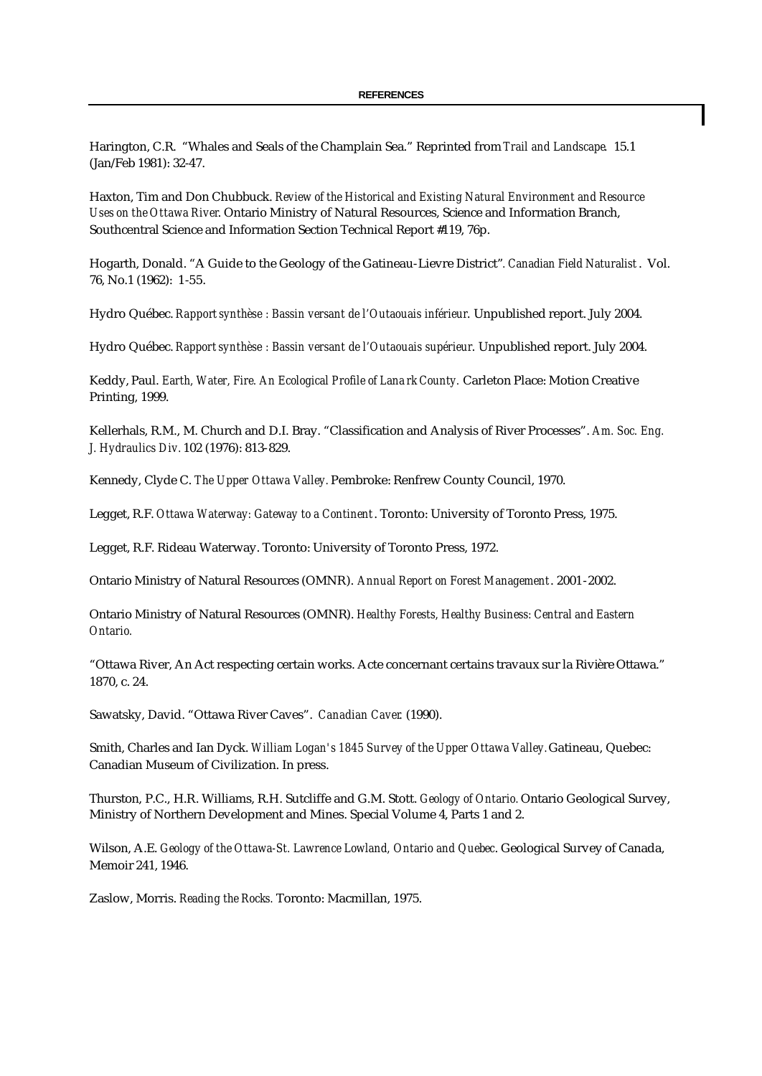Harington, C.R. "Whales and Seals of the Champlain Sea." Reprinted from *Trail and Landscape*. 15.1 (Jan/Feb 1981): 32-47.

Haxton, Tim and Don Chubbuck. *Review of the Historical and Existing Natural Environment and Resource Uses on the Ottawa River*. Ontario Ministry of Natural Resources, Science and Information Branch, Southcentral Science and Information Section Technical Report #119, 76p.

Hogarth, Donald. "A Guide to the Geology of the Gatineau-Lievre District"*. Canadian Field Naturalist*. Vol. 76, No.1 (1962): 1-55.

Hydro Québec. *Rapport synthèse : Bassin versant de l'Outaouais inférieur*. Unpublished report. July 2004.

Hydro Québec. *Rapport synthèse : Bassin versant de l'Outaouais supérieur*. Unpublished report. July 2004.

Keddy, Paul. *Earth, Water, Fire. An Ecological Profile of Lana rk County.* Carleton Place: Motion Creative Printing, 1999.

Kellerhals, R.M., M. Church and D.I. Bray. "Classification and Analysis of River Processes". *Am. Soc. Eng. J. Hydraulics Div.* 102 (1976): 813-829.

Kennedy, Clyde C. *The Upper Ottawa Valley.* Pembroke: Renfrew County Council, 1970.

Legget, R.F. *Ottawa Waterway: Gateway to a Continent*. Toronto: University of Toronto Press, 1975.

Legget, R.F. Rideau Waterway. Toronto: University of Toronto Press, 1972.

Ontario Ministry of Natural Resources (OMNR). *Annual Report on Forest Management*. 2001-2002.

Ontario Ministry of Natural Resources (OMNR). *Healthy Forests, Healthy Business: Central and Eastern Ontario.*

"Ottawa River, An Act respecting certain works. Acte concernant certains travaux sur la Rivière Ottawa." 1870, c. 24.

Sawatsky, David. "Ottawa River Caves". *Canadian Caver*. (1990).

Smith, Charles and Ian Dyck. *William Logan's 1845 Survey of the Upper Ottawa Valley.* Gatineau, Quebec: Canadian Museum of Civilization. In press.

Thurston, P.C., H.R. Williams, R.H. Sutcliffe and G.M. Stott. *Geology of Ontario.* Ontario Geological Survey, Ministry of Northern Development and Mines. Special Volume 4, Parts 1 and 2.

Wilson, A.E. *Geology of the Ottawa-St. Lawrence Lowland, Ontario and Quebec*. Geological Survey of Canada, Memoir 241, 1946.

Zaslow, Morris. *Reading the Rocks.* Toronto: Macmillan, 1975.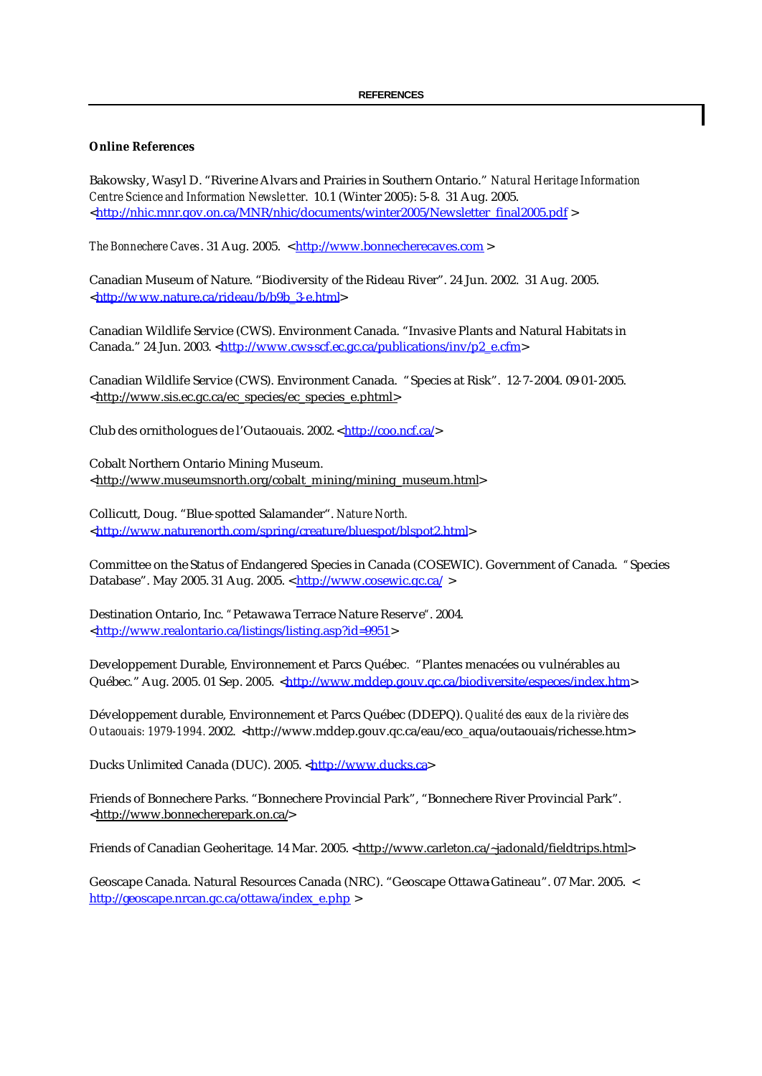## **Online References**

Bakowsky, Wasyl D. "Riverine Alvars and Prairies in Southern Ontario." *Natural Heritage Information Centre Science and Information Newsletter*. 10.1 (Winter 2005): 5-8. 31 Aug. 2005. <http://nhic.mnr.gov.on.ca/MNR/nhic/documents/winter2005/Newsletter\_final2005.pdf >

*The Bonnechere Caves*. 31 Aug. 2005. < http://www.bonnecherecaves.com >

Canadian Museum of Nature. "Biodiversity of the Rideau River". 24 Jun. 2002. 31 Aug. 2005. <http://w ww.nature.ca/rideau/b/b9b\_3-e.html>

Canadian Wildlife Service (CWS). Environment Canada. "Invasive Plants and Natural Habitats in Canada." 24 Jun. 2003. <http://www.cws-scf.ec.gc.ca/publications/inv/p2\_e.cfm>

Canadian Wildlife Service (CWS). Environment Canada. "Species at Risk". 12-7-2004. 09-01-2005. <http://www.sis.ec.gc.ca/ec\_species/ec\_species\_e.phtml>

Club des ornithologues de l'Outaouais. 2002. < http://coo.ncf.ca/>

Cobalt Northern Ontario Mining Museum. <http://www.museumsnorth.org/cobalt\_mining/mining\_museum.html>

Collicutt, Doug. "Blue-spotted Salamander". *Nature North.*  <http://www.naturenorth.com/spring/creature/bluespot/blspot2.html>

Committee on the Status of Endangered Species in Canada (COSEWIC). Government of Canada. *"*Species Database". May 2005. 31 Aug. 2005. < http://www.cosewic.gc.ca/ >

Destination Ontario, Inc. *"*Petawawa Terrace Nature Reserve*"*. 2004. <http://www.realontario.ca/listings/listing.asp?id=9951>

Developpement Durable, Environnement et Parcs Québec*.* "Plantes menacées ou vulnérables au Québec." Aug. 2005. 01 Sep. 2005. <http://www.mddep.gouv.qc.ca/biodiversite/especes/index.htm>

Développement durable, Environnement et Parcs Québec (DDEPQ). *Qualité des eaux de la rivière des Outaouais: 1979-1994.* 2002. <http://www.mddep.gouv.qc.ca/eau/eco\_aqua/outaouais/richesse.htm>

Ducks Unlimited Canada (DUC). 2005. <http://www.ducks.ca>

Friends of Bonnechere Parks. "Bonnechere Provincial Park", "Bonnechere River Provincial Park". <http://www.bonnecherepark.on.ca/>

Friends of Canadian Geoheritage. 14 Mar. 2005. <http://www.carleton.ca/~jadonald/fieldtrips.html>

Geoscape Canada. Natural Resources Canada (NRC). "Geoscape Ottawa Gatineau". 07 Mar. 2005. < http://geoscape.nrcan.gc.ca/ottawa/index\_e.php >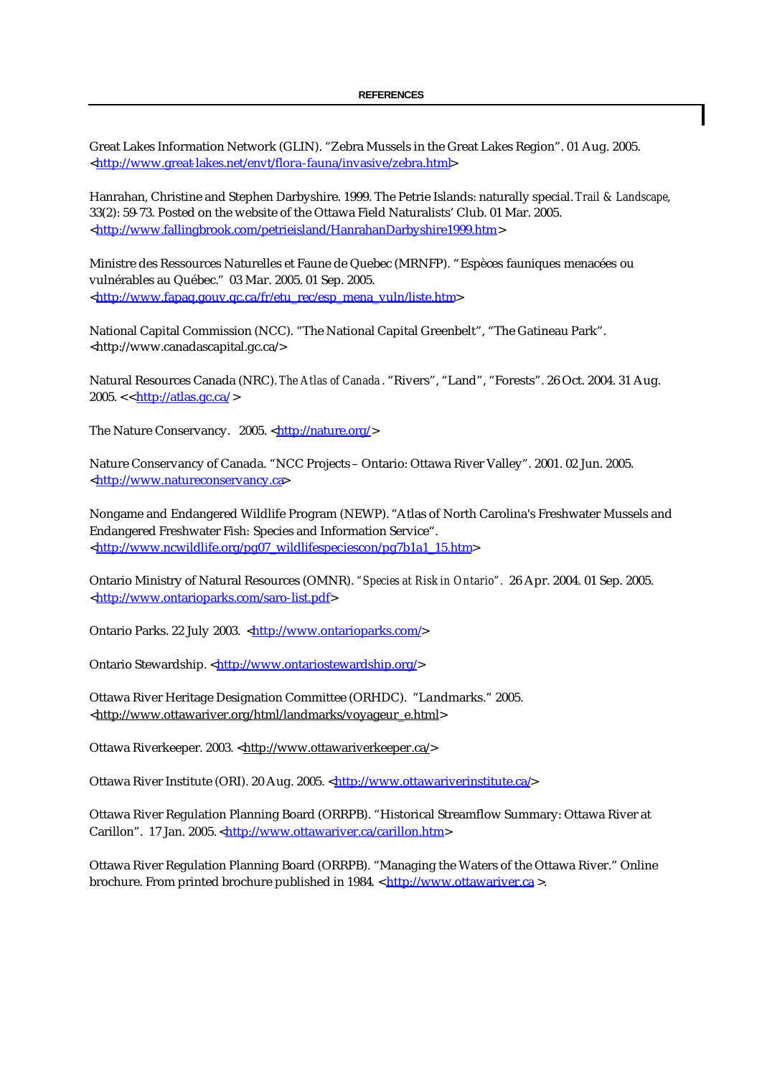Great Lakes Information Network (GLIN). "Zebra Mussels in the Great Lakes Region". 01 Aug. 2005. <http://www.great-lakes.net/envt/flora-fauna/invasive/zebra.html>

Hanrahan, Christine and Stephen Darbyshire. 1999. The Petrie Islands: naturally special. *Trail & Landscape*, 33(2): 59-73. Posted on the website of the Ottawa Field Naturalists' Club. 01 Mar. 2005. <http://www.fallingbrook.com/petrieisland/HanrahanDarbyshire1999.htm>

Ministre des Ressources Naturelles et Faune de Quebec (MRNFP). "Espèces fauniques menacées ou vulnérables au Québec." 03 Mar. 2005. 01 Sep. 2005. <http://www.fapaq.gouv.qc.ca/fr/etu\_rec/esp\_mena\_vuln/liste.htm>

National Capital Commission (NCC). "The National Capital Greenbelt", "The Gatineau Park". <http://www.canadascapital.gc.ca/>

Natural Resources Canada (NRC). *The Atlas of Canada* . "Rivers", "Land", "Forests". 26 Oct. 2004. 31 Aug.  $2005. < http://atlas.gc.ca/>$ 

The Nature Conservancy. 2005. <http://nature.org/>

Nature Conservancy of Canada. "NCC Projects – Ontario: Ottawa River Valley". 2001. 02 Jun. 2005. <http://www.natureconservancy.ca>

Nongame and Endangered Wildlife Program (NEWP). "Atlas of North Carolina's Freshwater Mussels and Endangered Freshwater Fish: Species and Information Service". <http://www.ncwildlife.org/pg07\_wildlifespeciescon/pg7b1a1\_15.htm>

Ontario Ministry of Natural Resources (OMNR). *"Species at Risk in Ontario".* 26 Apr. 2004. 01 Sep. 2005. <http://www.ontarioparks.com/saro-list.pdf>

Ontario Parks. 22 July 2003. <http://www.ontarioparks.com/>

Ontario Stewardship. <http://www.ontariostewardship.org/>

Ottawa River Heritage Designation Committee (ORHDC). "Landmarks." 2005. <http://www.ottawariver.org/html/landmarks/voyageur\_e.html>

Ottawa Riverkeeper. 2003. <http://www.ottawariverkeeper.ca/>

Ottawa River Institute (ORI). 20 Aug. 2005. <http://www.ottawariverinstitute.ca/>

Ottawa River Regulation Planning Board (ORRPB). "Historical Streamflow Summary: Ottawa River at Carillon". 17 Jan. 2005. <http://www.ottawariver.ca/carillon.htm>

Ottawa River Regulation Planning Board (ORRPB). "Managing the Waters of the Ottawa River." Online brochure. From printed brochure published in 1984. < http://www.ottawariver.ca >.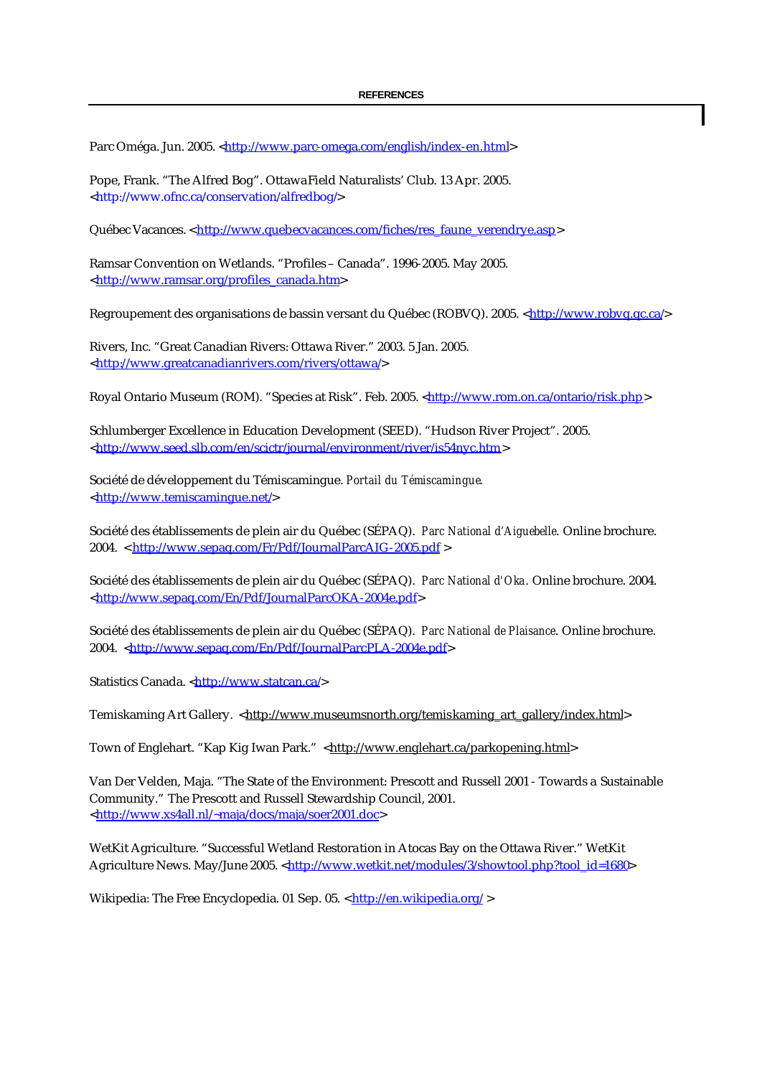Parc Oméga. Jun. 2005. <http://www.parc-omega.com/english/index-en.html>

Pope, Frank. "The Alfred Bog". Ottawa Field Naturalists' Club. 13 Apr. 2005. <http://www.ofnc.ca/conservation/alfredbog/>

Québec Vacances. < http://www.quebecvacances.com/fiches/res\_faune\_verendrye.asp>

Ramsar Convention on Wetlands. "Profiles – Canada". 1996-2005. May 2005. <http://www.ramsar.org/profiles\_canada.htm>

Regroupement des organisations de bassin versant du Québec (ROBVQ). 2005. <http://www.robvq.qc.ca/>

Rivers, Inc. "Great Canadian Rivers: Ottawa River." 2003. 5 Jan. 2005. <http://www.greatcanadianrivers.com/rivers/ottawa/>

Royal Ontario Museum (ROM). "Species at Risk". Feb. 2005. <http://www.rom.on.ca/ontario/risk.php>

Schlumberger Excellence in Education Development (SEED). "Hudson River Project". 2005. <http://www.seed.slb.com/en/scictr/journal/environment/river/is54nyc.htm>

Société de développement du Témiscamingue. *Portail du Témiscamingue*. <http://www.temiscamingue.net/>

Société des établissements de plein air du Québec (SÉPAQ). *Parc National d'Aiguebelle*. Online brochure. 2004. < http://www.sepaq.com/Fr/Pdf/JournalParcAIG-2005.pdf >

Société des établissements de plein air du Québec (SÉPAQ). *Parc National d'Oka*. Online brochure. 2004. <http://www.sepaq.com/En/Pdf/JournalParcOKA-2004e.pdf>

Société des établissements de plein air du Québec (SÉPAQ). *Parc National de Plaisance*. Online brochure. 2004. <http://www.sepaq.com/En/Pdf/JournalParcPLA-2004e.pdf>

Statistics Canada. <http://www.statcan.ca/>

Temiskaming Art Gallery. <http://www.museumsnorth.org/temiskaming\_art\_gallery/index.html>

Town of Englehart. "Kap Kig Iwan Park." <http://www.englehart.ca/parkopening.html>

Van Der Velden, Maja. "The State of the Environment: Prescott and Russell 2001 - Towards a Sustainable Community." The Prescott and Russell Stewardship Council, 2001. <http://www.xs4all.nl/~maja/docs/maja/soer2001.doc>

WetKit Agriculture. "Successful Wetland Restoration in Atocas Bay on the Ottawa River." WetKit Agriculture News. May/June 2005. <http://www.wetkit.net/modules/3/showtool.php?tool\_id=1680>

Wikipedia: The Free Encyclopedia. 01 Sep. 05. < http://en.wikipedia.org/>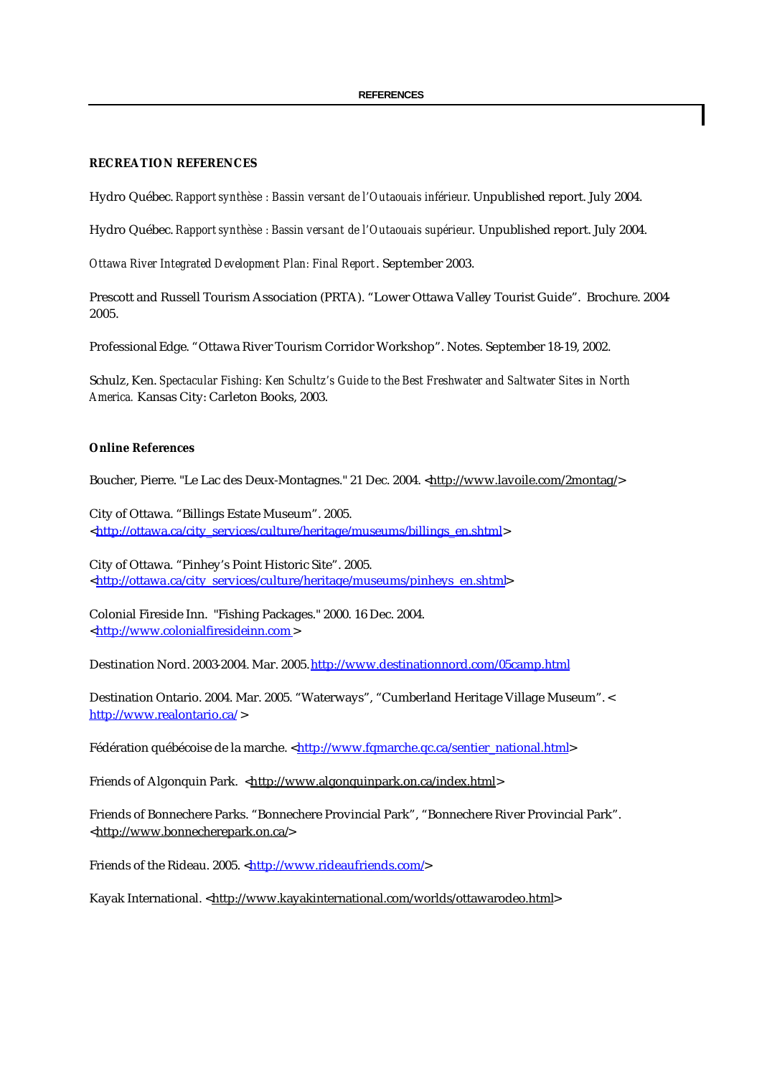# **RECREATION REFERENCES**

Hydro Québec. *Rapport synthèse : Bassin versant de l'Outaouais inférieur*. Unpublished report. July 2004.

Hydro Québec. *Rapport synthèse : Bassin versant de l'Outaouais supérieur*. Unpublished report. July 2004.

*Ottawa River Integrated Development Plan: Final Report*. September 2003.

Prescott and Russell Tourism Association (PRTA). "Lower Ottawa Valley Tourist Guide". Brochure. 2004- 2005.

Professional Edge. "Ottawa River Tourism Corridor Workshop". Notes. September 18-19, 2002.

Schulz, Ken. *Spectacular Fishing: Ken Schultz's Guide to the Best Freshwater and Saltwater Sites in North America.* Kansas City: Carleton Books, 2003.

#### **Online References**

Boucher, Pierre. "Le Lac des Deux-Montagnes." 21 Dec. 2004. <http://www.lavoile.com/2montag/>

City of Ottawa. "Billings Estate Museum". 2005. <http://ottawa.ca/city\_services/culture/heritage/museums/billings\_en.shtml>

City of Ottawa. "Pinhey's Point Historic Site". 2005. <http://ottawa.ca/city\_services/culture/heritage/museums/pinheys\_en.shtml>

Colonial Fireside Inn. "Fishing Packages." 2000. 16 Dec. 2004. <http://www.colonialfiresideinn.com>

Destination Nord. 2003-2004. Mar. 2005.http://www.destinationnord.com/05camp.html

Destination Ontario. 2004. Mar. 2005. "Waterways", "Cumberland Heritage Village Museum". < http://www.realontario.ca/ >

Fédération québécoise de la marche. <http://www.fqmarche.qc.ca/sentier\_national.html>

Friends of Algonquin Park. <http://www.algonquinpark.on.ca/index.html>

Friends of Bonnechere Parks. "Bonnechere Provincial Park", "Bonnechere River Provincial Park". <http://www.bonnecherepark.on.ca/>

Friends of the Rideau. 2005. <http://www.rideaufriends.com/>

Kayak International. <http://www.kayakinternational.com/worlds/ottawarodeo.html>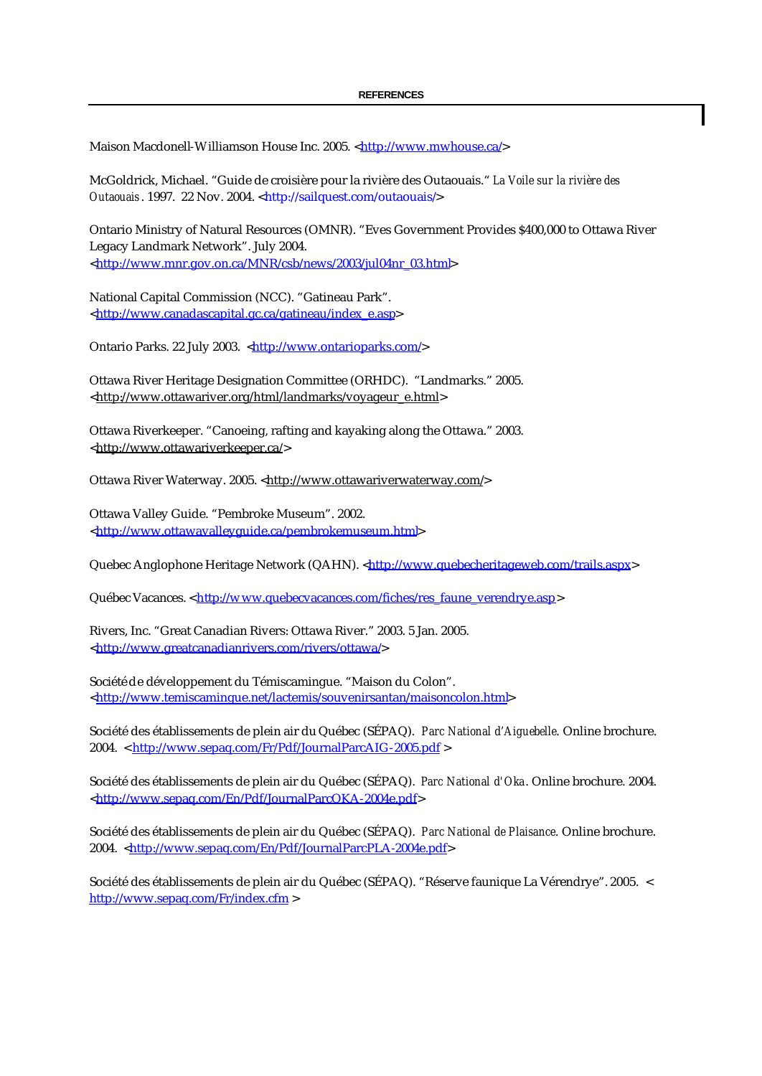Maison Macdonell-Williamson House Inc. 2005. <http://www.mwhouse.ca/>

McGoldrick, Michael. "Guide de croisière pour la rivière des Outaouais." *La Voile sur la rivière des Outaouais*. 1997. 22 Nov. 2004. <http://sailquest.com/outaouais/>

Ontario Ministry of Natural Resources (OMNR). "Eves Government Provides \$400,000 to Ottawa River Legacy Landmark Network". July 2004. <http://www.mnr.gov.on.ca/MNR/csb/news/2003/jul04nr\_03.html>

National Capital Commission (NCC). "Gatineau Park". <http://www.canadascapital.gc.ca/gatineau/index\_e.asp>

Ontario Parks. 22 July 2003. <http://www.ontarioparks.com/>

Ottawa River Heritage Designation Committee (ORHDC). "Landmarks." 2005. <http://www.ottawariver.org/html/landmarks/voyageur\_e.html>

Ottawa Riverkeeper. "Canoeing, rafting and kayaking along the Ottawa." 2003. <http://www.ottawariverkeeper.ca/>

Ottawa River Waterway. 2005. <http://www.ottawariverwaterway.com/>

Ottawa Valley Guide. "Pembroke Museum". 2002. <http://www.ottawavalleyguide.ca/pembrokemuseum.html>

Quebec Anglophone Heritage Network (QAHN). <http://www.quebecheritageweb.com/trails.aspx>

Québec Vacances. < http://w ww.quebecvacances.com/fiches/res\_faune\_verendrye.asp>

Rivers, Inc. "Great Canadian Rivers: Ottawa River." 2003. 5 Jan. 2005. <http://www.greatcanadianrivers.com/rivers/ottawa/>

Société de développement du Témiscamingue. "Maison du Colon". <http://www.temiscamingue.net/lactemis/souvenirsantan/maisoncolon.html>

Société des établissements de plein air du Québec (SÉPAQ). *Parc National d'Aiguebelle*. Online brochure. 2004. < http://www.sepaq.com/Fr/Pdf/JournalParcAIG-2005.pdf >

Société des établissements de plein air du Québec (SÉPAQ). *Parc National d'Oka*. Online brochure. 2004. <http://www.sepaq.com/En/Pdf/JournalParcOKA-2004e.pdf>

Société des établissements de plein air du Québec (SÉPAQ). *Parc National de Plaisance*. Online brochure. 2004. <http://www.sepaq.com/En/Pdf/JournalParcPLA-2004e.pdf>

Société des établissements de plein air du Québec (SÉPAQ). "Réserve faunique La Vérendrye". 2005. < http://www.sepaq.com/Fr/index.cfm >